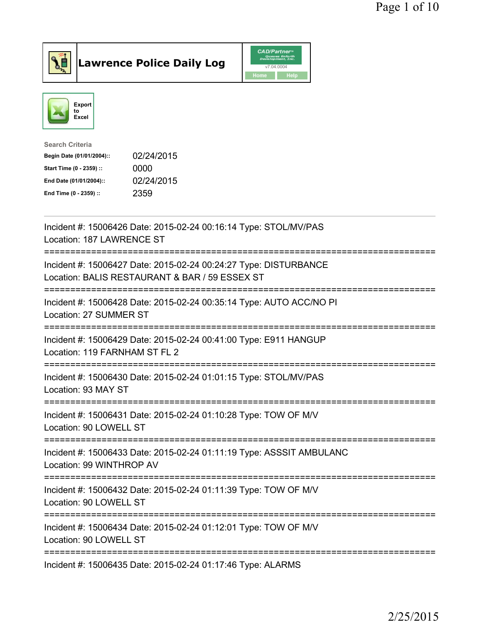



| <b>Search Criteria</b>    |            |
|---------------------------|------------|
| Begin Date (01/01/2004):: | 02/24/2015 |
| Start Time (0 - 2359) ::  | 0000       |
| End Date (01/01/2004)::   | 02/24/2015 |
| End Time (0 - 2359) ::    | 2359       |
|                           |            |

| Incident #: 15006426 Date: 2015-02-24 00:16:14 Type: STOL/MV/PAS<br>Location: 187 LAWRENCE ST                      |
|--------------------------------------------------------------------------------------------------------------------|
| Incident #: 15006427 Date: 2015-02-24 00:24:27 Type: DISTURBANCE<br>Location: BALIS RESTAURANT & BAR / 59 ESSEX ST |
| Incident #: 15006428 Date: 2015-02-24 00:35:14 Type: AUTO ACC/NO PI<br>Location: 27 SUMMER ST                      |
| Incident #: 15006429 Date: 2015-02-24 00:41:00 Type: E911 HANGUP<br>Location: 119 FARNHAM ST FL 2                  |
| Incident #: 15006430 Date: 2015-02-24 01:01:15 Type: STOL/MV/PAS<br>Location: 93 MAY ST                            |
| Incident #: 15006431 Date: 2015-02-24 01:10:28 Type: TOW OF M/V<br>Location: 90 LOWELL ST                          |
| Incident #: 15006433 Date: 2015-02-24 01:11:19 Type: ASSSIT AMBULANC<br>Location: 99 WINTHROP AV                   |
| Incident #: 15006432 Date: 2015-02-24 01:11:39 Type: TOW OF M/V<br>Location: 90 LOWELL ST                          |
| ====================<br>Incident #: 15006434 Date: 2015-02-24 01:12:01 Type: TOW OF M/V<br>Location: 90 LOWELL ST  |
| ------------------<br>Incident #: 15006435 Date: 2015-02-24 01:17:46 Type: ALARMS                                  |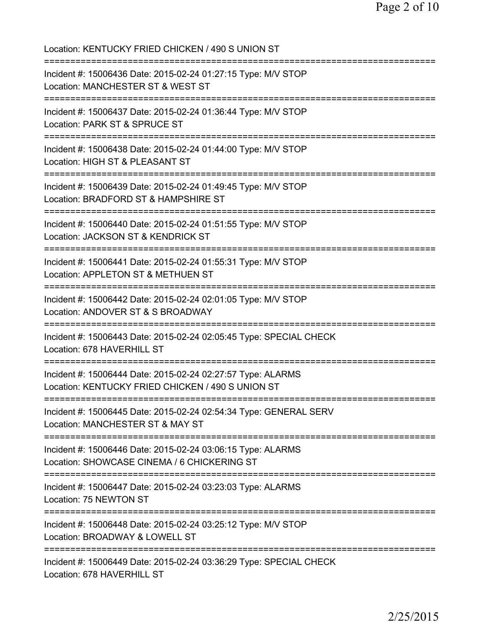Location: KENTUCKY FRIED CHICKEN / 490 S UNION ST =========================================================================== Incident #: 15006436 Date: 2015-02-24 01:27:15 Type: M/V STOP Location: MANCHESTER ST & WEST ST =========================================================================== Incident #: 15006437 Date: 2015-02-24 01:36:44 Type: M/V STOP Location: PARK ST & SPRUCE ST =========================================================================== Incident #: 15006438 Date: 2015-02-24 01:44:00 Type: M/V STOP Location: HIGH ST & PLEASANT ST =========================================================================== Incident #: 15006439 Date: 2015-02-24 01:49:45 Type: M/V STOP Location: BRADFORD ST & HAMPSHIRE ST =========================================================================== Incident #: 15006440 Date: 2015-02-24 01:51:55 Type: M/V STOP Location: JACKSON ST & KENDRICK ST =========================================================================== Incident #: 15006441 Date: 2015-02-24 01:55:31 Type: M/V STOP Location: APPLETON ST & METHUEN ST =========================================================================== Incident #: 15006442 Date: 2015-02-24 02:01:05 Type: M/V STOP Location: ANDOVER ST & S BROADWAY =========================================================================== Incident #: 15006443 Date: 2015-02-24 02:05:45 Type: SPECIAL CHECK Location: 678 HAVERHILL ST =========================================================================== Incident #: 15006444 Date: 2015-02-24 02:27:57 Type: ALARMS Location: KENTUCKY FRIED CHICKEN / 490 S UNION ST =========================================================================== Incident #: 15006445 Date: 2015-02-24 02:54:34 Type: GENERAL SERV Location: MANCHESTER ST & MAY ST =========================================================================== Incident #: 15006446 Date: 2015-02-24 03:06:15 Type: ALARMS Location: SHOWCASE CINEMA / 6 CHICKERING ST =========================================================================== Incident #: 15006447 Date: 2015-02-24 03:23:03 Type: ALARMS Location: 75 NEWTON ST =========================================================================== Incident #: 15006448 Date: 2015-02-24 03:25:12 Type: M/V STOP Location: BROADWAY & LOWELL ST =========================================================================== Incident #: 15006449 Date: 2015-02-24 03:36:29 Type: SPECIAL CHECK Location: 678 HAVERHILL ST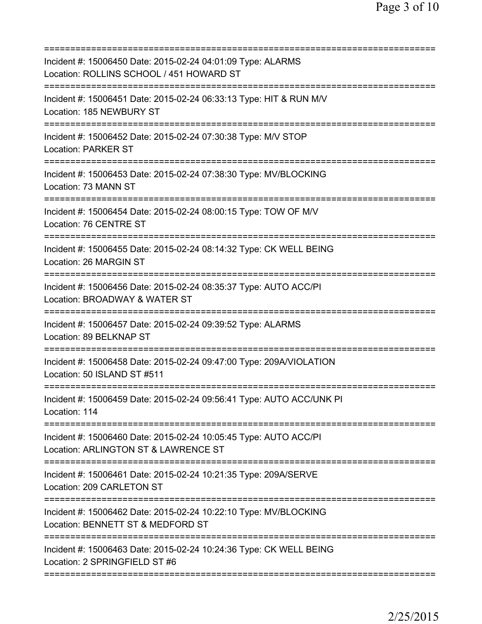| Incident #: 15006450 Date: 2015-02-24 04:01:09 Type: ALARMS<br>Location: ROLLINS SCHOOL / 451 HOWARD ST                                        |
|------------------------------------------------------------------------------------------------------------------------------------------------|
| Incident #: 15006451 Date: 2015-02-24 06:33:13 Type: HIT & RUN M/V<br>Location: 185 NEWBURY ST                                                 |
| Incident #: 15006452 Date: 2015-02-24 07:30:38 Type: M/V STOP<br><b>Location: PARKER ST</b>                                                    |
| Incident #: 15006453 Date: 2015-02-24 07:38:30 Type: MV/BLOCKING<br>Location: 73 MANN ST                                                       |
| Incident #: 15006454 Date: 2015-02-24 08:00:15 Type: TOW OF M/V<br>Location: 76 CENTRE ST                                                      |
| Incident #: 15006455 Date: 2015-02-24 08:14:32 Type: CK WELL BEING<br>Location: 26 MARGIN ST                                                   |
| :============================<br>Incident #: 15006456 Date: 2015-02-24 08:35:37 Type: AUTO ACC/PI<br>Location: BROADWAY & WATER ST<br>======== |
| Incident #: 15006457 Date: 2015-02-24 09:39:52 Type: ALARMS<br>Location: 89 BELKNAP ST                                                         |
| Incident #: 15006458 Date: 2015-02-24 09:47:00 Type: 209A/VIOLATION<br>Location: 50 ISLAND ST #511                                             |
| Incident #: 15006459 Date: 2015-02-24 09:56:41 Type: AUTO ACC/UNK PI<br>Location: 114                                                          |
| Incident #: 15006460 Date: 2015-02-24 10:05:45 Type: AUTO ACC/PI<br>Location: ARLINGTON ST & LAWRENCE ST                                       |
| Incident #: 15006461 Date: 2015-02-24 10:21:35 Type: 209A/SERVE<br>Location: 209 CARLETON ST                                                   |
| Incident #: 15006462 Date: 2015-02-24 10:22:10 Type: MV/BLOCKING<br>Location: BENNETT ST & MEDFORD ST                                          |
| Incident #: 15006463 Date: 2015-02-24 10:24:36 Type: CK WELL BEING<br>Location: 2 SPRINGFIELD ST #6                                            |
|                                                                                                                                                |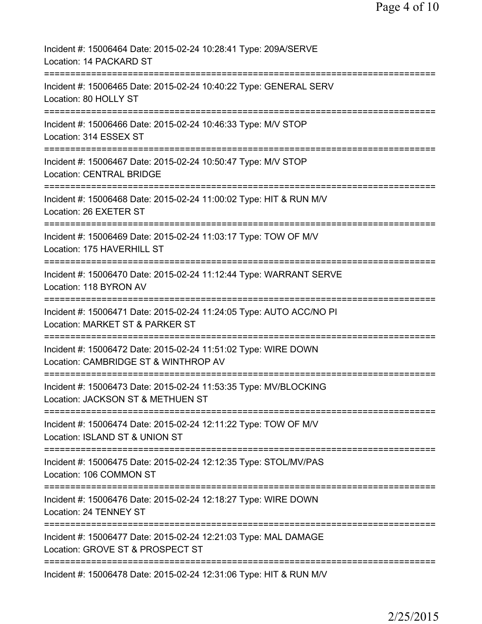| Incident #: 15006464 Date: 2015-02-24 10:28:41 Type: 209A/SERVE<br>Location: 14 PACKARD ST                             |
|------------------------------------------------------------------------------------------------------------------------|
| Incident #: 15006465 Date: 2015-02-24 10:40:22 Type: GENERAL SERV<br>Location: 80 HOLLY ST                             |
| Incident #: 15006466 Date: 2015-02-24 10:46:33 Type: M/V STOP<br>Location: 314 ESSEX ST                                |
| Incident #: 15006467 Date: 2015-02-24 10:50:47 Type: M/V STOP<br><b>Location: CENTRAL BRIDGE</b>                       |
| Incident #: 15006468 Date: 2015-02-24 11:00:02 Type: HIT & RUN M/V<br>Location: 26 EXETER ST                           |
| Incident #: 15006469 Date: 2015-02-24 11:03:17 Type: TOW OF M/V<br>Location: 175 HAVERHILL ST                          |
| Incident #: 15006470 Date: 2015-02-24 11:12:44 Type: WARRANT SERVE<br>Location: 118 BYRON AV                           |
| ============<br>Incident #: 15006471 Date: 2015-02-24 11:24:05 Type: AUTO ACC/NO PI<br>Location: MARKET ST & PARKER ST |
| Incident #: 15006472 Date: 2015-02-24 11:51:02 Type: WIRE DOWN<br>Location: CAMBRIDGE ST & WINTHROP AV                 |
| Incident #: 15006473 Date: 2015-02-24 11:53:35 Type: MV/BLOCKING<br>Location: JACKSON ST & METHUEN ST                  |
| Incident #: 15006474 Date: 2015-02-24 12:11:22 Type: TOW OF M/V<br>Location: ISLAND ST & UNION ST                      |
| Incident #: 15006475 Date: 2015-02-24 12:12:35 Type: STOL/MV/PAS<br>Location: 106 COMMON ST                            |
| Incident #: 15006476 Date: 2015-02-24 12:18:27 Type: WIRE DOWN<br>Location: 24 TENNEY ST                               |
| Incident #: 15006477 Date: 2015-02-24 12:21:03 Type: MAL DAMAGE<br>Location: GROVE ST & PROSPECT ST                    |
| Incident #: 15006478 Date: 2015-02-24 12:31:06 Type: HIT & RUN M/V                                                     |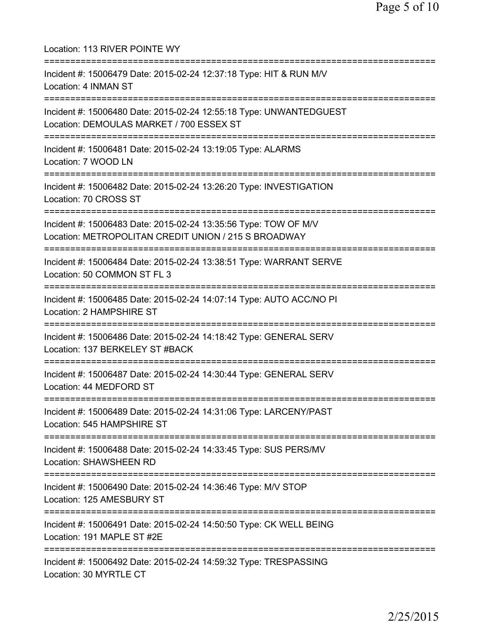| Location: 113 RIVER POINTE WY                                                                                                                                    |
|------------------------------------------------------------------------------------------------------------------------------------------------------------------|
| Incident #: 15006479 Date: 2015-02-24 12:37:18 Type: HIT & RUN M/V<br>Location: 4 INMAN ST                                                                       |
| Incident #: 15006480 Date: 2015-02-24 12:55:18 Type: UNWANTEDGUEST<br>Location: DEMOULAS MARKET / 700 ESSEX ST                                                   |
| Incident #: 15006481 Date: 2015-02-24 13:19:05 Type: ALARMS<br>Location: 7 WOOD LN                                                                               |
| Incident #: 15006482 Date: 2015-02-24 13:26:20 Type: INVESTIGATION<br>Location: 70 CROSS ST                                                                      |
| Incident #: 15006483 Date: 2015-02-24 13:35:56 Type: TOW OF M/V<br>Location: METROPOLITAN CREDIT UNION / 215 S BROADWAY                                          |
| Incident #: 15006484 Date: 2015-02-24 13:38:51 Type: WARRANT SERVE<br>Location: 50 COMMON ST FL 3                                                                |
| Incident #: 15006485 Date: 2015-02-24 14:07:14 Type: AUTO ACC/NO PI<br>Location: 2 HAMPSHIRE ST                                                                  |
| Incident #: 15006486 Date: 2015-02-24 14:18:42 Type: GENERAL SERV<br>Location: 137 BERKELEY ST #BACK<br>=============================<br>----------------------- |
| Incident #: 15006487 Date: 2015-02-24 14:30:44 Type: GENERAL SERV<br>Location: 44 MEDFORD ST                                                                     |
| Incident #: 15006489 Date: 2015-02-24 14:31:06 Type: LARCENY/PAST<br>Location: 545 HAMPSHIRE ST                                                                  |
| Incident #: 15006488 Date: 2015-02-24 14:33:45 Type: SUS PERS/MV<br>Location: SHAWSHEEN RD                                                                       |
| Incident #: 15006490 Date: 2015-02-24 14:36:46 Type: M/V STOP<br>Location: 125 AMESBURY ST                                                                       |
| Incident #: 15006491 Date: 2015-02-24 14:50:50 Type: CK WELL BEING<br>Location: 191 MAPLE ST #2E                                                                 |
| Incident #: 15006492 Date: 2015-02-24 14:59:32 Type: TRESPASSING<br>Location: 30 MYRTLE CT                                                                       |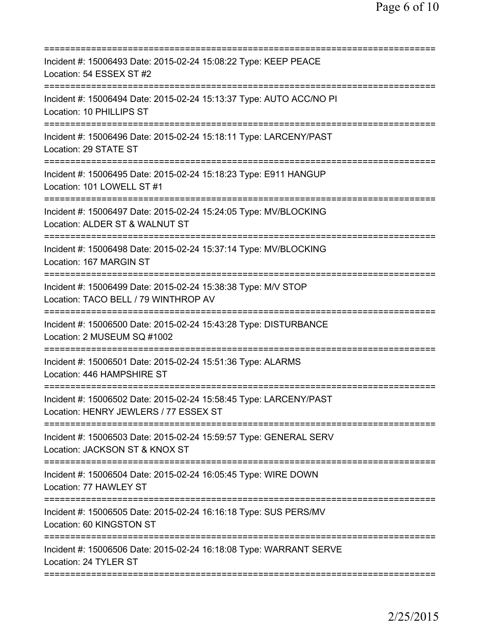| Incident #: 15006493 Date: 2015-02-24 15:08:22 Type: KEEP PEACE<br>Location: 54 ESSEX ST #2                |
|------------------------------------------------------------------------------------------------------------|
| Incident #: 15006494 Date: 2015-02-24 15:13:37 Type: AUTO ACC/NO PI<br>Location: 10 PHILLIPS ST            |
| Incident #: 15006496 Date: 2015-02-24 15:18:11 Type: LARCENY/PAST<br>Location: 29 STATE ST                 |
| Incident #: 15006495 Date: 2015-02-24 15:18:23 Type: E911 HANGUP<br>Location: 101 LOWELL ST #1             |
| Incident #: 15006497 Date: 2015-02-24 15:24:05 Type: MV/BLOCKING<br>Location: ALDER ST & WALNUT ST         |
| Incident #: 15006498 Date: 2015-02-24 15:37:14 Type: MV/BLOCKING<br>Location: 167 MARGIN ST                |
| Incident #: 15006499 Date: 2015-02-24 15:38:38 Type: M/V STOP<br>Location: TACO BELL / 79 WINTHROP AV      |
| Incident #: 15006500 Date: 2015-02-24 15:43:28 Type: DISTURBANCE<br>Location: 2 MUSEUM SQ #1002            |
| Incident #: 15006501 Date: 2015-02-24 15:51:36 Type: ALARMS<br>Location: 446 HAMPSHIRE ST                  |
| Incident #: 15006502 Date: 2015-02-24 15:58:45 Type: LARCENY/PAST<br>Location: HENRY JEWLERS / 77 ESSEX ST |
| Incident #: 15006503 Date: 2015-02-24 15:59:57 Type: GENERAL SERV<br>Location: JACKSON ST & KNOX ST        |
| Incident #: 15006504 Date: 2015-02-24 16:05:45 Type: WIRE DOWN<br>Location: 77 HAWLEY ST                   |
| Incident #: 15006505 Date: 2015-02-24 16:16:18 Type: SUS PERS/MV<br>Location: 60 KINGSTON ST               |
| Incident #: 15006506 Date: 2015-02-24 16:18:08 Type: WARRANT SERVE<br>Location: 24 TYLER ST                |
|                                                                                                            |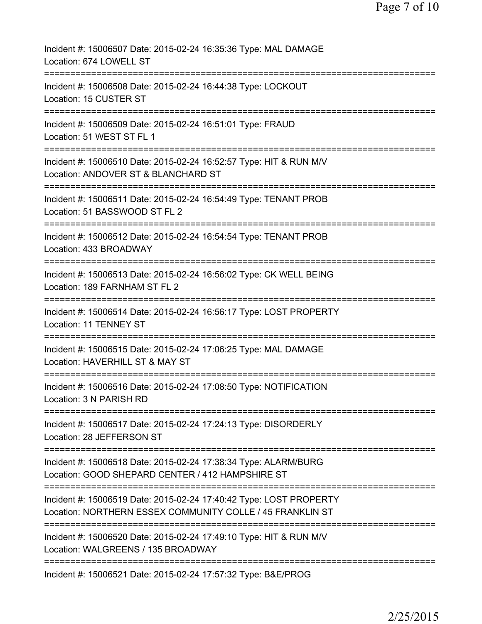| Incident #: 15006507 Date: 2015-02-24 16:35:36 Type: MAL DAMAGE<br>Location: 674 LOWELL ST                                                                |
|-----------------------------------------------------------------------------------------------------------------------------------------------------------|
| Incident #: 15006508 Date: 2015-02-24 16:44:38 Type: LOCKOUT<br>Location: 15 CUSTER ST                                                                    |
| Incident #: 15006509 Date: 2015-02-24 16:51:01 Type: FRAUD<br>Location: 51 WEST ST FL 1                                                                   |
| Incident #: 15006510 Date: 2015-02-24 16:52:57 Type: HIT & RUN M/V<br>Location: ANDOVER ST & BLANCHARD ST                                                 |
| Incident #: 15006511 Date: 2015-02-24 16:54:49 Type: TENANT PROB<br>Location: 51 BASSWOOD ST FL 2                                                         |
| Incident #: 15006512 Date: 2015-02-24 16:54:54 Type: TENANT PROB<br>Location: 433 BROADWAY                                                                |
| Incident #: 15006513 Date: 2015-02-24 16:56:02 Type: CK WELL BEING<br>Location: 189 FARNHAM ST FL 2<br>==============                                     |
| Incident #: 15006514 Date: 2015-02-24 16:56:17 Type: LOST PROPERTY<br>Location: 11 TENNEY ST                                                              |
| Incident #: 15006515 Date: 2015-02-24 17:06:25 Type: MAL DAMAGE<br>Location: HAVERHILL ST & MAY ST                                                        |
| Incident #: 15006516 Date: 2015-02-24 17:08:50 Type: NOTIFICATION<br>Location: 3 N PARISH RD                                                              |
| Incident #: 15006517 Date: 2015-02-24 17:24:13 Type: DISORDERLY<br>Location: 28 JEFFERSON ST                                                              |
| ==================================<br>Incident #: 15006518 Date: 2015-02-24 17:38:34 Type: ALARM/BURG<br>Location: GOOD SHEPARD CENTER / 412 HAMPSHIRE ST |
| Incident #: 15006519 Date: 2015-02-24 17:40:42 Type: LOST PROPERTY<br>Location: NORTHERN ESSEX COMMUNITY COLLE / 45 FRANKLIN ST                           |
| Incident #: 15006520 Date: 2015-02-24 17:49:10 Type: HIT & RUN M/V<br>Location: WALGREENS / 135 BROADWAY                                                  |
| ========================<br>Incident #: 15006521 Date: 2015-02-24 17:57:32 Type: B&E/PROG                                                                 |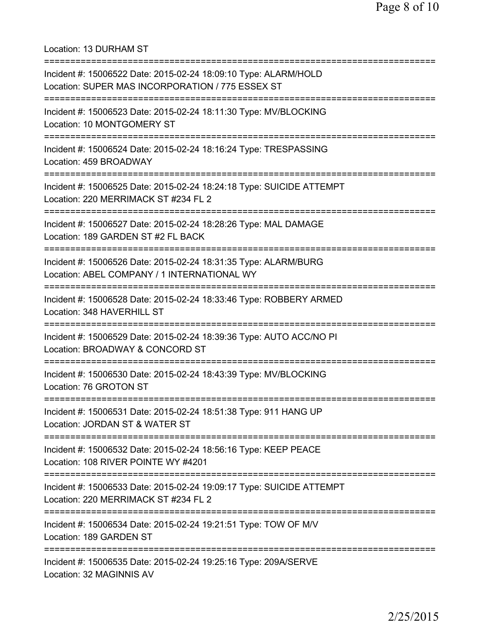Location: 13 DURHAM ST

| Incident #: 15006522 Date: 2015-02-24 18:09:10 Type: ALARM/HOLD<br>Location: SUPER MAS INCORPORATION / 775 ESSEX ST                         |
|---------------------------------------------------------------------------------------------------------------------------------------------|
| Incident #: 15006523 Date: 2015-02-24 18:11:30 Type: MV/BLOCKING<br>Location: 10 MONTGOMERY ST                                              |
| Incident #: 15006524 Date: 2015-02-24 18:16:24 Type: TRESPASSING<br>Location: 459 BROADWAY                                                  |
| Incident #: 15006525 Date: 2015-02-24 18:24:18 Type: SUICIDE ATTEMPT<br>Location: 220 MERRIMACK ST #234 FL 2<br>=========================== |
| Incident #: 15006527 Date: 2015-02-24 18:28:26 Type: MAL DAMAGE<br>Location: 189 GARDEN ST #2 FL BACK                                       |
| Incident #: 15006526 Date: 2015-02-24 18:31:35 Type: ALARM/BURG<br>Location: ABEL COMPANY / 1 INTERNATIONAL WY                              |
| Incident #: 15006528 Date: 2015-02-24 18:33:46 Type: ROBBERY ARMED<br>Location: 348 HAVERHILL ST                                            |
| Incident #: 15006529 Date: 2015-02-24 18:39:36 Type: AUTO ACC/NO PI<br>Location: BROADWAY & CONCORD ST                                      |
| Incident #: 15006530 Date: 2015-02-24 18:43:39 Type: MV/BLOCKING<br>Location: 76 GROTON ST                                                  |
| Incident #: 15006531 Date: 2015-02-24 18:51:38 Type: 911 HANG UP<br>Location: JORDAN ST & WATER ST                                          |
| .------------------------<br>Incident #: 15006532 Date: 2015-02-24 18:56:16 Type: KEEP PEACE<br>Location: 108 RIVER POINTE WY #4201         |
| Incident #: 15006533 Date: 2015-02-24 19:09:17 Type: SUICIDE ATTEMPT<br>Location: 220 MERRIMACK ST #234 FL 2                                |
| :==============================<br>Incident #: 15006534 Date: 2015-02-24 19:21:51 Type: TOW OF M/V<br>Location: 189 GARDEN ST               |
| Incident #: 15006535 Date: 2015-02-24 19:25:16 Type: 209A/SERVE<br>Location: 32 MAGINNIS AV                                                 |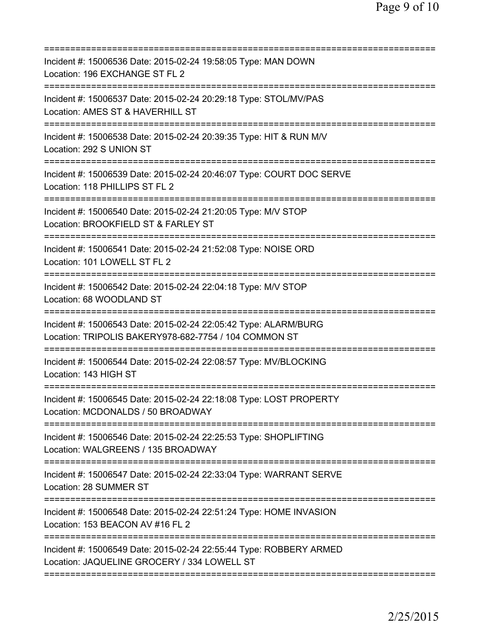| ========================                                                                                                 |
|--------------------------------------------------------------------------------------------------------------------------|
| Incident #: 15006536 Date: 2015-02-24 19:58:05 Type: MAN DOWN<br>Location: 196 EXCHANGE ST FL 2                          |
| Incident #: 15006537 Date: 2015-02-24 20:29:18 Type: STOL/MV/PAS<br>Location: AMES ST & HAVERHILL ST                     |
| Incident #: 15006538 Date: 2015-02-24 20:39:35 Type: HIT & RUN M/V<br>Location: 292 S UNION ST                           |
| Incident #: 15006539 Date: 2015-02-24 20:46:07 Type: COURT DOC SERVE<br>Location: 118 PHILLIPS ST FL 2                   |
| Incident #: 15006540 Date: 2015-02-24 21:20:05 Type: M/V STOP<br>Location: BROOKFIELD ST & FARLEY ST                     |
| Incident #: 15006541 Date: 2015-02-24 21:52:08 Type: NOISE ORD<br>Location: 101 LOWELL ST FL 2                           |
| Incident #: 15006542 Date: 2015-02-24 22:04:18 Type: M/V STOP<br>Location: 68 WOODLAND ST                                |
| Incident #: 15006543 Date: 2015-02-24 22:05:42 Type: ALARM/BURG<br>Location: TRIPOLIS BAKERY978-682-7754 / 104 COMMON ST |
| Incident #: 15006544 Date: 2015-02-24 22:08:57 Type: MV/BLOCKING<br>Location: 143 HIGH ST                                |
| Incident #: 15006545 Date: 2015-02-24 22:18:08 Type: LOST PROPERTY<br>Location: MCDONALDS / 50 BROADWAY                  |
| Incident #: 15006546 Date: 2015-02-24 22:25:53 Type: SHOPLIFTING<br>Location: WALGREENS / 135 BROADWAY                   |
| Incident #: 15006547 Date: 2015-02-24 22:33:04 Type: WARRANT SERVE<br>Location: 28 SUMMER ST                             |
| Incident #: 15006548 Date: 2015-02-24 22:51:24 Type: HOME INVASION<br>Location: 153 BEACON AV #16 FL 2                   |
| Incident #: 15006549 Date: 2015-02-24 22:55:44 Type: ROBBERY ARMED<br>Location: JAQUELINE GROCERY / 334 LOWELL ST        |
|                                                                                                                          |